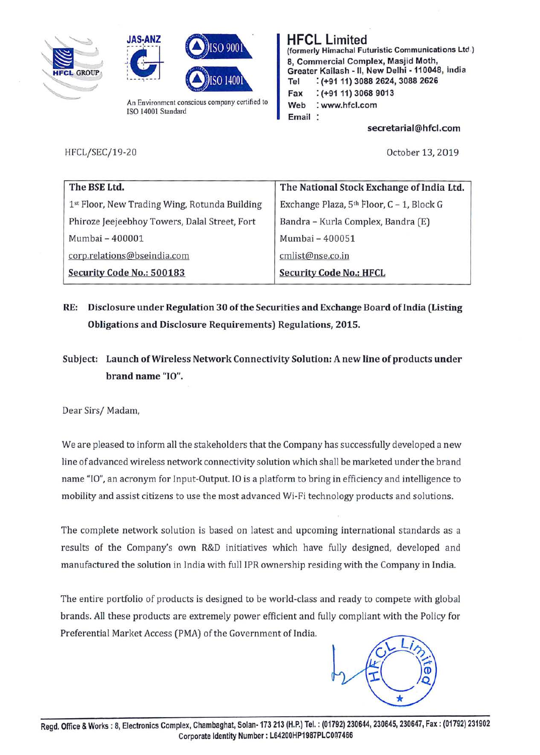





An Environment conscious company certified to ISO 14001 Standard

**HFCL Limited (formerly Himachal Futuristic Communications Ltd.) 8, Commercial Complex, Masjid Moth, Greater Kailash** - II, **New Delhi -110048, india Tel** : **(+91 11) 3088 2624, 3088 2626 Fax** : **(+91 11) 3068 9013 Web** : **www.hfcl.com Email** 

**secretarial@hfcl.com** 

HFCL/SEC/19-20

October 13, 2019

| The BSE Ltd.                                  | The National Stock Exchange of India Ltd. |
|-----------------------------------------------|-------------------------------------------|
| 1st Floor, New Trading Wing, Rotunda Building | Exchange Plaza, 5th Floor, C - 1, Block G |
| Phiroze Jeejeebhoy Towers, Dalal Street, Fort | Bandra - Kurla Complex, Bandra (E)        |
| Mumbai - 400001                               | Mumbai - 400051                           |
| corp.relations@bseindia.com                   | cmlist@nse.co.in                          |
| Security Code No.: 500183                     | <b>Security Code No.: HFCL</b>            |

- **RE: Disclosure under Regulation 30 of the Securities and Exchange Board oflndia (Listing Obligations and Disclosure Requirements) Regulations, 2015.**
- **Subject: Launch of Wireless Network Connectivity Solution: A new line of products under brand name** "IO".

bear Sirs/ Madam,

We are pleased to inform all the stakeholders that the Company has successfully developed a new line of advanced wireless network connectivity solution which shall be marketed under the brand name "IO", an acronym for Input-Output. IO is a platform to bring in efficiency and intelligence to mobility and assist citizens to use the most advanced Wi-Fi technology products and solutions.

The complete network solution is based on latest and upcoming international standards as a results of the Company's own R&D initiatives which have fully designed, developed and manufactured the solution in India with full IPR ownership residing with the Company in India.

The entire portfolio of products is designed to be world-class and ready to compete with global brands. All these products are extremely power efficient and fully compliant with the Policy for Preferential Market Access (PMA) of the Government of India.

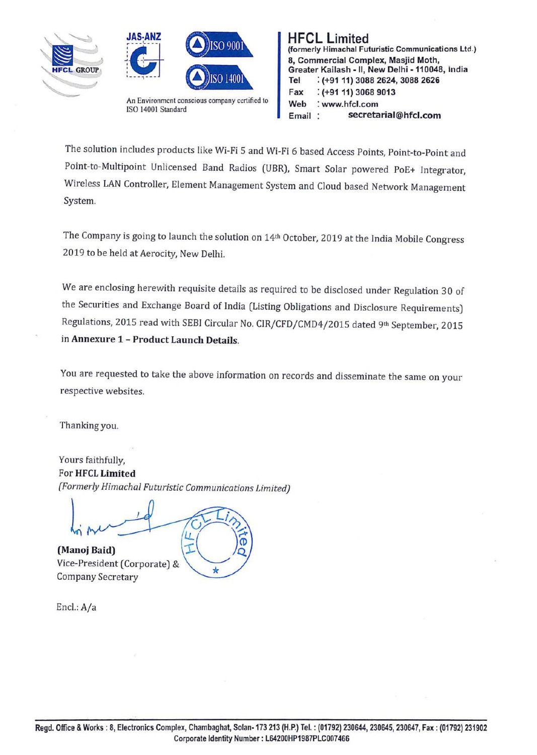



**D h** ii β **b** ii β **b** ii β **b** ii β **b** ii β **b** ii β **b** ii β **b** ii β **b** ii β **b** ii β **b** ii β **b** ii β **b** ii β **b** ii β **b** ii β **b** ii β **b** ii β **b** ii β **b** ii β **b** ii β **b** ii β **b** ii β **b** ii β **b** ii β An Environment conscious company certified to ISO 14001 Standard



The solution includes products like Wi-Fi 5 and Wi-Fi 6 based Access Points, Point-to-Point and Point-to-Multipoint Unlicensed Band Radios (UBR), Smart Solar powered PoE+ Integrator, Wireless LAN Controller, Element Management System and Cloud based Network Management System.

The Company is going to launch the solution on 14<sup>th</sup> October, 2019 at the India Mobile Congress 2019 to be held at Aerocity, New Delhi.

We are enclosing herewith requisite details as required to be disclosed under Regulation 30 of the Securities and Exchange Board of India (Listing Obligations and Disclosure Requirements) Regulations, 2015 read with SEBI Circular No. CIR/CFD/CMD4/2015 dated 9th September, 2015 in **Annexure 1** - **Product Launch Details.** 

You are requested to take the above information on records and disseminate the same on your respective websites.

Thanking you.

Yours faithfully, For **HFCL Limited**  *{Formerly Himachal Futuristic Communications limited)* 

 $\star$ 

loi me  $\overline{u}$ T

(Manoj Baid) Vice-President (Corporate) & Company Secretary

Encl.: A/a